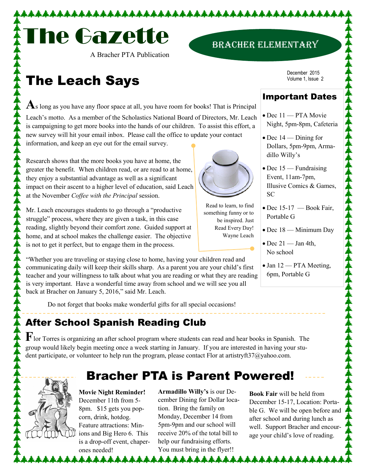

A Bracher PTA Publication

# The Leach Says

As long as you have any floor space at all, you have room for books! That is Principal Leach's motto. As a member of the Scholastics National Board of Directors, Mr. Leach is campaigning to get more books into the hands of our children. To assist this effort, a new survey will hit your email inbox. Please call the office to update your contact

information, and keep an eye out for the email survey.

Research shows that the more books you have at home, the greater the benefit. When children read, or are read to at home, they enjoy a substantial advantage as well as a significant impact on their ascent to a higher level of education, said Leach at the November *Coffee with the Principal* session.

Mr. Leach encourages students to go through a "productive struggle" process, where they are given a task, in this case reading, slightly beyond their comfort zone. Guided support at home, and at school makes the challenge easier. The objective is not to get it perfect, but to engage them in the process.

"Whether you are traveling or staying close to home, having your children read and communicating daily will keep their skills sharp. As a parent you are your child's first teacher and your willingness to talk about what you are reading or what they are reading is very important. Have a wonderful time away from school and we will see you all back at Bracher on January 5, 2016," said Mr. Leach.

Do not forget that books make wonderful gifts for all special occasions!

## After School Spanish Reading Club

**F**lor Torres is organizing an after school program where students can read and hear books in Spanish. The group would likely begin meeting once a week starting in January. If you are interested in having your student participate, or volunteer to help run the program, please contact Flor at artistryft37@yahoo.com.

**Movie Night Reminder!**  December 11th from 5- 8pm. \$15 gets you popcorn, drink, hotdog. Feature attractions: Minions and Big Hero 6. This is a drop-off event, chaperones needed! \*\*\*\*\*\*\*

**Armadillo Willy's** is our December Dining for Dollar location. Bring the family on Monday, December 14 from 5pm-9pm and our school will receive 20% of the total bill to help our fundraising efforts. You must bring in the flyer!!

<u>Liililililil</u>

Bracher PTA is Parent Powered!

December 2015 Volume 1, Issue 2

Bracher Elementary

#### Important Dates

- Dec 11 PTA Movie Night, 5pm-8pm, Cafeteria
- Dec 14 Dining for Dollars, 5pm-9pm, Armadillo Willy's
- Dec 15 Fundraising Event, 11am-7pm, Illusive Comics & Games, SC
- Dec 15-17 Book Fair, Portable G
- Dec 18 Minimum Day
- $\bullet$  Dec 21 Jan 4th, No school
- Jan 12 PTA Meeting, 6pm, Portable G

**Book Fair** will be held from December 15-17, Location: Portable G. We will be open before and after school and during lunch as well. Support Bracher and encourage your child's love of reading.



Read to learn, to find something funny or to

be inspired. Just Read Every Day! Wayne Leach